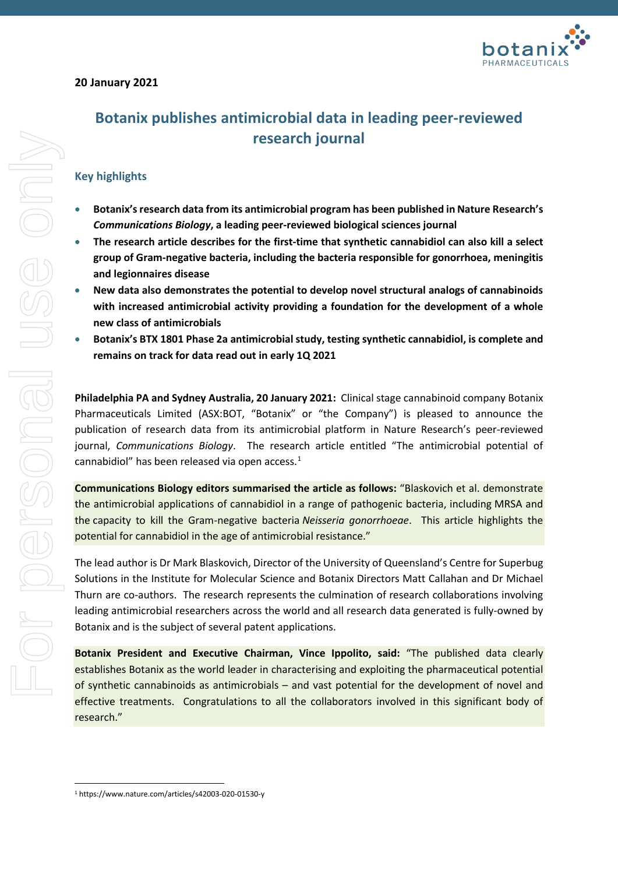

# **20 January 2021**

# **Key highlights**

- **Botanix's research data from its antimicrobial program has been published in Nature Research's**  *Communications Biology***, a leading peer-reviewed biological sciences journal**
- **The research article describes for the first-time that synthetic cannabidiol can also kill a select group of Gram-negative bacteria, including the bacteria responsible for gonorrhoea, meningitis and legionnaires disease**
- **New data also demonstrates the potential to develop novel structural analogs of cannabinoids with increased antimicrobial activity providing a foundation for the development of a whole new class of antimicrobials**
- **Botanix's BTX 1801 Phase 2a antimicrobial study, testing synthetic cannabidiol, is complete and remains on track for data read out in early 1Q 2021**

**Philadelphia PA and Sydney Australia, 20 January 2021:** Clinical stage cannabinoid company Botanix Pharmaceuticals Limited (ASX:BOT, "Botanix" or "the Company") is pleased to announce the publication of research data from its antimicrobial platform in Nature Research's peer-reviewed journal, *Communications Biology*. The research article entitled "The antimicrobial potential of cannabidiol" has been released via open access.<sup>[1](#page-0-0)</sup>

**Communications Biology editors summarised the article as follows:** "Blaskovich et al. demonstrate the antimicrobial applications of cannabidiol in a range of pathogenic bacteria, including MRSA and the capacity to kill the Gram-negative bacteria *Neisseria gonorrhoeae*. This article highlights the potential for cannabidiol in the age of antimicrobial resistance."

The lead author is Dr Mark Blaskovich, Director of the University of Queensland's Centre for Superbug Solutions in the Institute for Molecular Science and Botanix Directors Matt Callahan and Dr Michael Thurn are co-authors. The research represents the culmination of research collaborations involving leading antimicrobial researchers across the world and all research data generated is fully-owned by Botanix and is the subject of several patent applications.

**Botanix President and Executive Chairman, Vince Ippolito, said:** "The published data clearly establishes Botanix as the world leader in characterising and exploiting the pharmaceutical potential of synthetic cannabinoids as antimicrobials – and vast potential for the development of novel and effective treatments. Congratulations to all the collaborators involved in this significant body of research."

<span id="page-0-0"></span><sup>1</sup> https://www.nature.com/articles/s42003-020-01530-y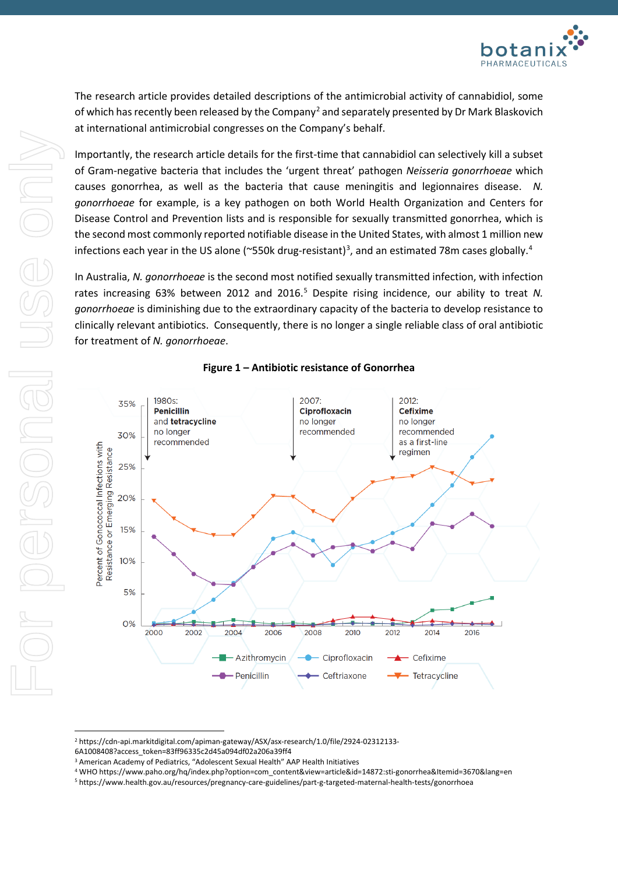

The research article provides detailed descriptions of the antimicrobial activity of cannabidiol, some of which has recently been released by the Company<sup>[2](#page-1-0)</sup> and separately presented by Dr Mark Blaskovich at international antimicrobial congresses on the Company's behalf.

Importantly, the research article details for the first-time that cannabidiol can selectively kill a subset of Gram-negative bacteria that includes the 'urgent threat' pathogen *Neisseria gonorrhoeae* which causes gonorrhea, as well as the bacteria that cause meningitis and legionnaires disease. *N. gonorrhoeae* for example, is a key pathogen on both World Health Organization and Centers for Disease Control and Prevention lists and is responsible for sexually transmitted gonorrhea, which is the second most commonly reported notifiable disease in the United States, with almost 1 million new infections each year in the US alone (~550k drug-resistant)<sup>[3](#page-1-1)</sup>, and an estimated 78m cases globally.<sup>[4](#page-1-2)</sup>

In Australia, *N. gonorrhoeae* is the second most notified sexually transmitted infection, with infection rates increasing 63% between 2012 and 2016. [5](#page-1-3) Despite rising incidence, our ability to treat *N. gonorrhoeae* is diminishing due to the extraordinary capacity of the bacteria to develop resistance to clinically relevant antibiotics. Consequently, there is no longer a single reliable class of oral antibiotic for treatment of *N. gonorrhoeae*.



## **Figure 1 – Antibiotic resistance of Gonorrhea**

<span id="page-1-2"></span><sup>4</sup> WHO https://www.paho.org/hq/index.php?option=com\_content&view=article&id=14872:sti-gonorrhea&Itemid=3670&lang=en

<span id="page-1-0"></span><sup>2</sup> https://cdn-api.markitdigital.com/apiman-gateway/ASX/asx-research/1.0/file/2924-02312133-

<span id="page-1-1"></span><sup>6</sup>A1008408?access\_token=83ff96335c2d45a094df02a206a39ff4

<sup>&</sup>lt;sup>3</sup> American Academy of Pediatrics, "Adolescent Sexual Health" AAP Health Initiatives

<span id="page-1-3"></span><sup>5</sup> https://www.health.gov.au/resources/pregnancy-care-guidelines/part-g-targeted-maternal-health-tests/gonorrhoea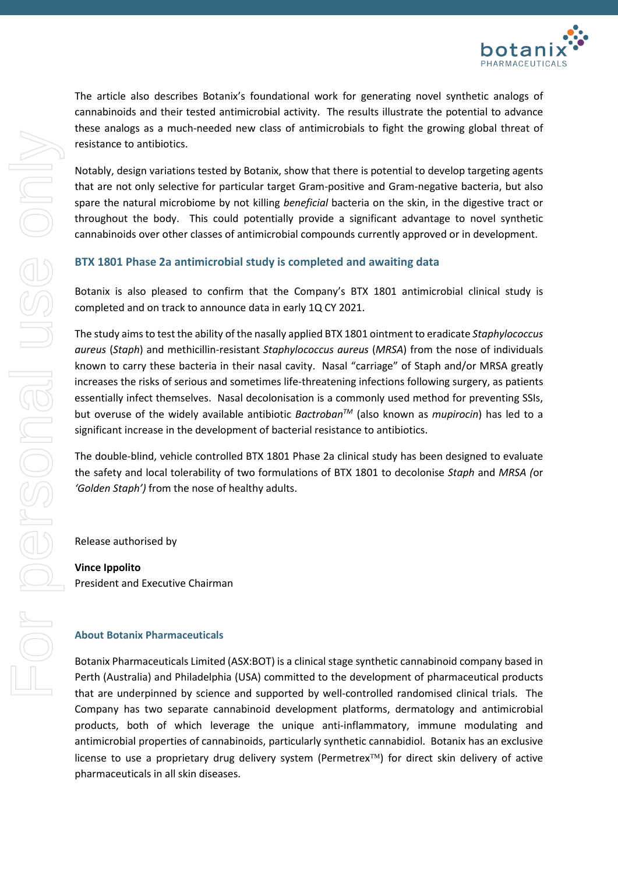

The article also describes Botanix's foundational work for generating novel synthetic analogs of cannabinoids and their tested antimicrobial activity. The results illustrate the potential to advance these analogs as a much-needed new class of antimicrobials to fight the growing global threat of resistance to antibiotics.

Notably, design variations tested by Botanix, show that there is potential to develop targeting agents that are not only selective for particular target Gram-positive and Gram-negative bacteria, but also spare the natural microbiome by not killing *beneficial* bacteria on the skin, in the digestive tract or throughout the body. This could potentially provide a significant advantage to novel synthetic cannabinoids over other classes of antimicrobial compounds currently approved or in development.

## **BTX 1801 Phase 2a antimicrobial study is completed and awaiting data**

Botanix is also pleased to confirm that the Company's BTX 1801 antimicrobial clinical study is completed and on track to announce data in early 1Q CY 2021.

The study aims to test the ability of the nasally applied BTX 1801 ointment to eradicate *Staphylococcus aureus* (*Staph*) and methicillin-resistant *Staphylococcus aureus* (*MRSA*) from the nose of individuals known to carry these bacteria in their nasal cavity. Nasal "carriage" of Staph and/or MRSA greatly increases the risks of serious and sometimes life-threatening infections following surgery, as patients essentially infect themselves. Nasal decolonisation is a commonly used method for preventing SSIs, but overuse of the widely available antibiotic *BactrobanTM* (also known as *mupirocin*) has led to a significant increase in the development of bacterial resistance to antibiotics.

The double-blind, vehicle controlled BTX 1801 Phase 2a clinical study has been designed to evaluate the safety and local tolerability of two formulations of BTX 1801 to decolonise *Staph* and *MRSA (*or *'Golden Staph')* from the nose of healthy adults.

Release authorised by

**Vince Ippolito** President and Executive Chairman

### **About Botanix Pharmaceuticals**

Botanix Pharmaceuticals Limited (ASX:BOT) is a clinical stage synthetic cannabinoid company based in Perth (Australia) and Philadelphia (USA) committed to the development of pharmaceutical products that are underpinned by science and supported by well-controlled randomised clinical trials. The Company has two separate cannabinoid development platforms, dermatology and antimicrobial products, both of which leverage the unique anti-inflammatory, immune modulating and antimicrobial properties of cannabinoids, particularly synthetic cannabidiol. Botanix has an exclusive license to use a proprietary drug delivery system (Permetrex $TM$ ) for direct skin delivery of active pharmaceuticals in all skin diseases.